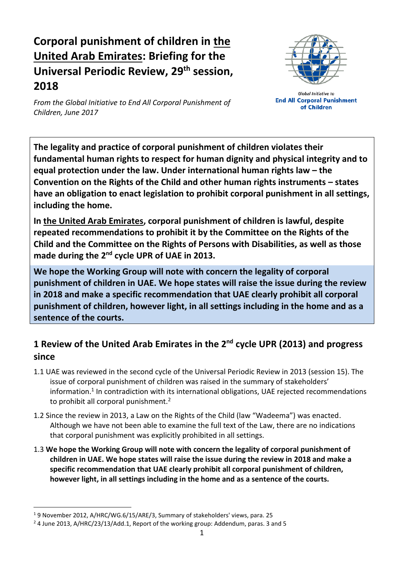# **Corporal punishment of children in the United Arab Emirates: Briefing for the Universal Periodic Review, 29 th session, 2018**



**Global Initiative to End All Corporal Punishment** of Children

*From the Global Initiative to End All Corporal Punishment of Children, June 2017*

**The legality and practice of corporal punishment of children violates their fundamental human rights to respect for human dignity and physical integrity and to equal protection under the law. Under international human rights law – the Convention on the Rights of the Child and other human rights instruments – states have an obligation to enact legislation to prohibit corporal punishment in all settings, including the home.**

**In the United Arab Emirates, corporal punishment of children is lawful, despite repeated recommendations to prohibit it by the Committee on the Rights of the Child and the Committee on the Rights of Persons with Disabilities, as well as those**  made during the 2<sup>nd</sup> cycle UPR of UAE in 2013.

**We hope the Working Group will note with concern the legality of corporal punishment of children in UAE. We hope states will raise the issue during the review in 2018 and make a specific recommendation that UAE clearly prohibit all corporal punishment of children, however light, in all settings including in the home and as a sentence of the courts.**

## **1 Review of the United Arab Emirates in the 2nd cycle UPR (2013) and progress since**

- 1.1 UAE was reviewed in the second cycle of the Universal Periodic Review in 2013 (session 15). The issue of corporal punishment of children was raised in the summary of stakeholders' information.<sup>1</sup> In contradiction with its international obligations, UAE rejected recommendations to prohibit all corporal punishment.<sup>2</sup>
- 1.2 Since the review in 2013, a Law on the Rights of the Child (law "Wadeema") was enacted. Although we have not been able to examine the full text of the Law, there are no indications that corporal punishment was explicitly prohibited in all settings.
- 1.3 **We hope the Working Group will note with concern the legality of corporal punishment of children in UAE. We hope states will raise the issue during the review in 2018 and make a specific recommendation that UAE clearly prohibit all corporal punishment of children, however light, in all settings including in the home and as a sentence of the courts.**

<sup>1</sup> 9 November 2012, A/HRC/WG.6/15/ARE/3, Summary of stakeholders' views, para. 25

<sup>&</sup>lt;sup>2</sup> 4 June 2013, A/HRC/23/13/Add.1, Report of the working group: Addendum, paras. 3 and 5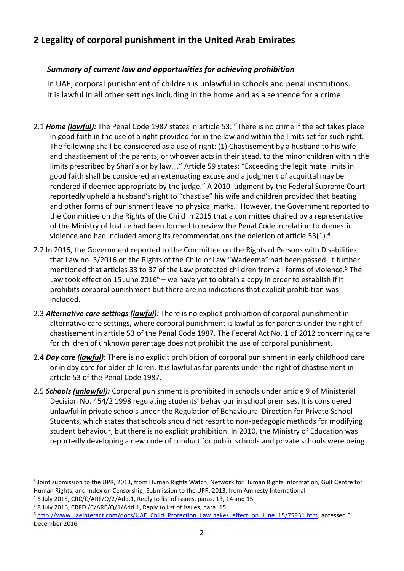## **2 Legality of corporal punishment in the United Arab Emirates**

### *Summary of current law and opportunities for achieving prohibition*

In UAE, corporal punishment of children is unlawful in schools and penal institutions. It is lawful in all other settings including in the home and as a sentence for a crime.

- 2.1 *Home (lawful):* The Penal Code 1987 states in article 53: "There is no crime if the act takes place in good faith in the use of a right provided for in the law and within the limits set for such right. The following shall be considered as a use of right: (1) Chastisement by a husband to his wife and chastisement of the parents, or whoever acts in their stead, to the minor children within the limits prescribed by Shari'a or by law…." Article 59 states: "Exceeding the legitimate limits in good faith shall be considered an extenuating excuse and a judgment of acquittal may be rendered if deemed appropriate by the judge." A 2010 judgment by the Federal Supreme Court reportedly upheld a husband's right to "chastise" his wife and children provided that beating and other forms of punishment leave no physical marks.<sup>3</sup> However, the Government reported to the Committee on the Rights of the Child in 2015 that a committee chaired by a representative of the Ministry of Justice had been formed to review the Penal Code in relation to domestic violence and had included among its recommendations the deletion of article 53(1).<sup>4</sup>
- 2.2 In 2016, the Government reported to the Committee on the Rights of Persons with Disabilities that Law no. 3/2016 on the Rights of the Child or Law "Wadeema" had been passed. It further mentioned that articles 33 to 37 of the Law protected children from all forms of violence.<sup>5</sup> The Law took effect on 15 June 2016<sup>6</sup> – we have yet to obtain a copy in order to establish if it prohibits corporal punishment but there are no indications that explicit prohibition was included.
- 2.3 *Alternative care settings (lawful):* There is no explicit prohibition of corporal punishment in alternative care settings, where corporal punishment is lawful as for parents under the right of chastisement in article 53 of the Penal Code 1987. The Federal Act No. 1 of 2012 concerning care for children of unknown parentage does not prohibit the use of corporal punishment.
- 2.4 *Day care (lawful):* There is no explicit prohibition of corporal punishment in early childhood care or in day care for older children. It is lawful as for parents under the right of chastisement in article 53 of the Penal Code 1987.
- 2.5 *Schools (unlawful):* Corporal punishment is prohibited in schools under article 9 of Ministerial Decision No. 454/2 1998 regulating students' behaviour in school premises. It is considered unlawful in private schools under the Regulation of Behavioural Direction for Private School Students, which states that schools should not resort to non-pedagogic methods for modifying student behaviour, but there is no explicit prohibition. In 2010, the Ministry of Education was reportedly developing a new code of conduct for public schools and private schools were being

<sup>3</sup> Joint submission to the UPR, 2013, from Human Rights Watch, Network for Human Rights Information, Gulf Centre for Human Rights, and Index on Censorship; Submission to the UPR, 2013, from Amnesty International

<sup>4</sup> 6 July 2015, CRC/C/ARE/Q/2/Add.1, Reply to list of issues, paras. 13, 14 and 15

<sup>5</sup> 8 July 2016, CRPD /C/ARE/Q/1/Add.1, Reply to list of issues, para. 15

<sup>6</sup> [http://www.uaeinteract.com/docs/UAE\\_Child\\_Protection\\_Law\\_takes\\_effect\\_on\\_June\\_15/75931.htm,](http://www.uaeinteract.com/docs/UAE_Child_Protection_Law_takes_effect_on_June_15/75931.htm) accessed 5 December 2016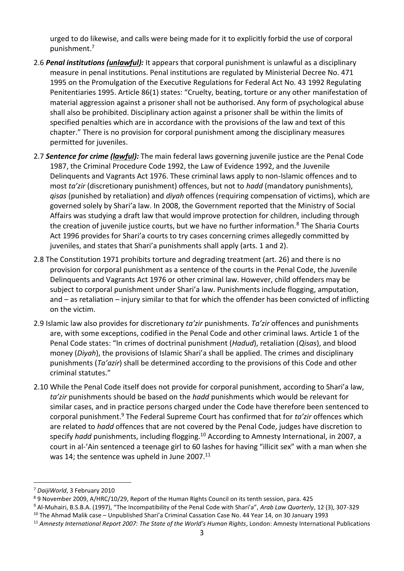urged to do likewise, and calls were being made for it to explicitly forbid the use of corporal punishment.<sup>7</sup>

- 2.6 *Penal institutions (unlawful):* It appears that corporal punishment is unlawful as a disciplinary measure in penal institutions. Penal institutions are regulated by Ministerial Decree No. 471 1995 on the Promulgation of the Executive Regulations for Federal Act No. 43 1992 Regulating Penitentiaries 1995. Article 86(1) states: "Cruelty, beating, torture or any other manifestation of material aggression against a prisoner shall not be authorised. Any form of psychological abuse shall also be prohibited. Disciplinary action against a prisoner shall be within the limits of specified penalties which are in accordance with the provisions of the law and text of this chapter." There is no provision for corporal punishment among the disciplinary measures permitted for juveniles.
- 2.7 *Sentence for crime (lawful):* The main federal laws governing juvenile justice are the Penal Code 1987, the Criminal Procedure Code 1992, the Law of Evidence 1992, and the Juvenile Delinquents and Vagrants Act 1976. These criminal laws apply to non-Islamic offences and to most *ta'zir* (discretionary punishment) offences, but not to *hadd* (mandatory punishments), *qisas* (punished by retaliation) and *diyah* offences (requiring compensation of victims), which are governed solely by Shari'a law. In 2008, the Government reported that the Ministry of Social Affairs was studying a draft law that would improve protection for children, including through the creation of juvenile justice courts, but we have no further information.<sup>8</sup> The Sharia Courts Act 1996 provides for Shari'a courts to try cases concerning crimes allegedly committed by juveniles, and states that Shari'a punishments shall apply (arts. 1 and 2).
- 2.8 The Constitution 1971 prohibits torture and degrading treatment (art. 26) and there is no provision for corporal punishment as a sentence of the courts in the Penal Code, the Juvenile Delinquents and Vagrants Act 1976 or other criminal law. However, child offenders may be subject to corporal punishment under Shari'a law. Punishments include flogging, amputation, and – as retaliation – injury similar to that for which the offender has been convicted of inflicting on the victim.
- 2.9 Islamic law also provides for discretionary *ta'zir* punishments. *Ta'zir* offences and punishments are, with some exceptions, codified in the Penal Code and other criminal laws. Article 1 of the Penal Code states: "In crimes of doctrinal punishment (*Hadud*), retaliation (*Qisas*), and blood money (*Diyah*), the provisions of Islamic Shari'a shall be applied. The crimes and disciplinary punishments (*Ta'azir*) shall be determined according to the provisions of this Code and other criminal statutes."
- 2.10 While the Penal Code itself does not provide for corporal punishment, according to Shari'a law, *ta'zir* punishments should be based on the *hadd* punishments which would be relevant for similar cases, and in practice persons charged under the Code have therefore been sentenced to corporal punishment.<sup>9</sup> The Federal Supreme Court has confirmed that for *ta'zir* offences which are related to *hadd* offences that are not covered by the Penal Code, judges have discretion to specify *hadd* punishments, including flogging.<sup>10</sup> According to Amnesty International, in 2007, a court in al-'Ain sentenced a teenage girl to 60 lashes for having "illicit sex" with a man when she was 14; the sentence was upheld in June 2007.<sup>11</sup>

<sup>7</sup> *DaijiWorld*, 3 February 2010

<sup>8</sup> 9 November 2009, A/HRC/10/29, Report of the Human Rights Council on its tenth session, para. 425

<sup>9</sup> Al-Muhairi, B.S.B.A. (1997), "The Incompatibility of the Penal Code with Shari'a", *Arab Law Quarterly*, 12 (3), 307-329

<sup>10</sup> The Ahmad Malik case – Unpublished Shari'a Criminal Cassation Case No. 44 Year 14, on 30 January 1993

<sup>11</sup> *Amnesty International Report 2007: The State of the World's Human Rights*, London: Amnesty International Publications